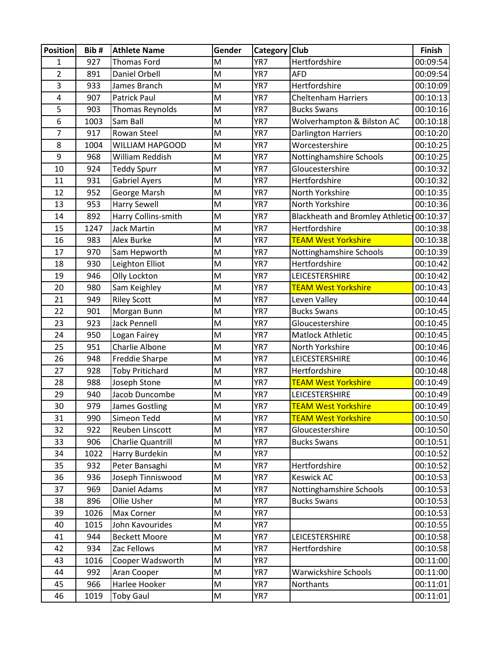| <b>Position</b> | Bib#       | <b>Athlete Name</b>                 | Gender | Category   Club |                                           | Finish               |
|-----------------|------------|-------------------------------------|--------|-----------------|-------------------------------------------|----------------------|
| 1               | 927        | <b>Thomas Ford</b>                  | M      | YR7             | Hertfordshire                             | 00:09:54             |
| $\overline{2}$  | 891        | Daniel Orbell                       | M      | YR7             | <b>AFD</b>                                | 00:09:54             |
| 3               | 933        | James Branch                        | M      | YR7             | Hertfordshire                             | 00:10:09             |
| 4               | 907        | <b>Patrick Paul</b>                 | M      | YR7             | <b>Cheltenham Harriers</b>                | 00:10:13             |
| 5               | 903        | <b>Thomas Reynolds</b>              | M      | YR7             | <b>Bucks Swans</b>                        | 00:10:16             |
| 6               | 1003       | Sam Ball                            | M      | YR7             | Wolverhampton & Bilston AC                | 00:10:18             |
| 7               | 917        | Rowan Steel                         | M      | YR7             | <b>Darlington Harriers</b>                | 00:10:20             |
| 8               | 1004       | <b>WILLIAM HAPGOOD</b>              | M      | YR7             | Worcestershire                            | 00:10:25             |
| 9               | 968        | William Reddish                     | M      | YR7             | Nottinghamshire Schools                   | 00:10:25             |
| 10              | 924        | <b>Teddy Spurr</b>                  | M      | YR7             | Gloucestershire                           | 00:10:32             |
| 11              | 931        | <b>Gabriel Ayers</b>                | M      | YR7             | Hertfordshire                             | 00:10:32             |
| 12              | 952        | George Marsh                        | M      | YR7             | North Yorkshire                           | 00:10:35             |
| 13              | 953        | <b>Harry Sewell</b>                 | M      | YR7             | North Yorkshire                           | 00:10:36             |
| 14              | 892        | Harry Collins-smith                 | M      | YR7             | Blackheath and Bromley Athletic: 00:10:37 |                      |
| 15              | 1247       | <b>Jack Martin</b>                  | M      | YR7             | Hertfordshire                             | 00:10:38             |
| 16              | 983        | Alex Burke                          | M      | YR7             | <b>TEAM West Yorkshire</b>                | 00:10:38             |
| 17              | 970        | Sam Hepworth                        | M      | YR7             | Nottinghamshire Schools                   | 00:10:39             |
| 18              | 930        | Leighton Elliot                     | M      | YR7             | Hertfordshire                             | 00:10:42             |
| 19              | 946        | Olly Lockton                        | M      | YR7             | LEICESTERSHIRE                            | 00:10:42             |
| 20              | 980        | Sam Keighley                        | M      | YR7             | <b>TEAM West Yorkshire</b>                | 00:10:43             |
| 21              | 949        | <b>Riley Scott</b>                  | M      | YR7             | Leven Valley                              | 00:10:44             |
| 22              | 901        | Morgan Bunn                         | M      | YR7             | <b>Bucks Swans</b>                        | 00:10:45             |
| 23              | 923        | <b>Jack Pennell</b>                 | M      | YR7             | Gloucestershire                           | 00:10:45             |
| 24              | 950        | Logan Fairey                        | M      | YR7             | <b>Matlock Athletic</b>                   | 00:10:45             |
| 25              | 951        | Charlie Albone                      | M      | YR7             | North Yorkshire                           | 00:10:46             |
| 26              | 948        | Freddie Sharpe                      | M      | YR7             | LEICESTERSHIRE                            | 00:10:46             |
| 27              | 928        | <b>Toby Pritichard</b>              | M      | YR7             | Hertfordshire                             | 00:10:48             |
| 28              | 988        | Joseph Stone                        | M      | YR7             | <b>TEAM West Yorkshire</b>                | 00:10:49             |
| 29              | 940        | Jacob Duncombe                      | M      | YR7             | LEICESTERSHIRE                            | 00:10:49             |
| 30              | 979        | James Gostling                      | M      | YR7             | <b>TEAM West Yorkshire</b>                | 00:10:49             |
| 31              | 990        | Simeon Tedd                         | M      | YR7             | <b>TEAM West Yorkshire</b>                | 00:10:50             |
| 32              | 922        | Reuben Linscott                     | M      | YR7             | Gloucestershire                           | 00:10:50             |
| 33              | 906        | Charlie Quantrill                   | M      | YR7             | <b>Bucks Swans</b>                        | 00:10:51             |
| 34              | 1022       | Harry Burdekin                      | M<br>M | YR7<br>YR7      | Hertfordshire                             | 00:10:52             |
| 35<br>36        | 932<br>936 | Peter Bansaghi<br>Joseph Tinniswood | M      | YR7             | <b>Keswick AC</b>                         | 00:10:52<br>00:10:53 |
| 37              | 969        | Daniel Adams                        | M      | YR7             | Nottinghamshire Schools                   | 00:10:53             |
| 38              | 896        | Ollie Usher                         | M      | YR7             | <b>Bucks Swans</b>                        | 00:10:53             |
| 39              | 1026       | Max Corner                          | M      | YR7             |                                           | 00:10:53             |
| 40              | 1015       | John Kavourides                     | M      | YR7             |                                           | 00:10:55             |
| 41              | 944        | <b>Beckett Moore</b>                | M      | YR7             | LEICESTERSHIRE                            | 00:10:58             |
| 42              | 934        | Zac Fellows                         | M      | YR7             | Hertfordshire                             | 00:10:58             |
| 43              | 1016       | Cooper Wadsworth                    | M      | YR7             |                                           | 00:11:00             |
| 44              | 992        | Aran Cooper                         | M      | YR7             | Warwickshire Schools                      | 00:11:00             |
| 45              | 966        | Harlee Hooker                       | M      | YR7             | Northants                                 | 00:11:01             |
| 46              | 1019       | <b>Toby Gaul</b>                    | M      | YR7             |                                           | 00:11:01             |
|                 |            |                                     |        |                 |                                           |                      |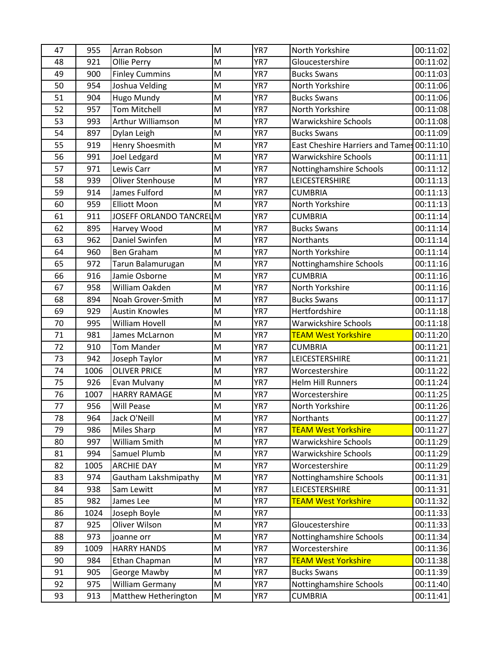| 47 | 955  | Arran Robson            | M | YR7 | North Yorkshire                           | 00:11:02 |
|----|------|-------------------------|---|-----|-------------------------------------------|----------|
| 48 | 921  | Ollie Perry             | M | YR7 | Gloucestershire                           | 00:11:02 |
| 49 | 900  | <b>Finley Cummins</b>   | M | YR7 | <b>Bucks Swans</b>                        | 00:11:03 |
| 50 | 954  | Joshua Velding          | M | YR7 | North Yorkshire                           | 00:11:06 |
| 51 | 904  | Hugo Mundy              | M | YR7 | <b>Bucks Swans</b>                        | 00:11:06 |
| 52 | 957  | <b>Tom Mitchell</b>     | M | YR7 | North Yorkshire                           | 00:11:08 |
| 53 | 993  | Arthur Williamson       | M | YR7 | <b>Warwickshire Schools</b>               | 00:11:08 |
| 54 | 897  | Dylan Leigh             | M | YR7 | <b>Bucks Swans</b>                        | 00:11:09 |
| 55 | 919  | Henry Shoesmith         | M | YR7 | East Cheshire Harriers and Tames 00:11:10 |          |
| 56 | 991  | Joel Ledgard            | M | YR7 | <b>Warwickshire Schools</b>               | 00:11:11 |
| 57 | 971  | Lewis Carr              | M | YR7 | Nottinghamshire Schools                   | 00:11:12 |
| 58 | 939  | Oliver Stenhouse        | M | YR7 | LEICESTERSHIRE                            | 00:11:13 |
| 59 | 914  | James Fulford           | M | YR7 | <b>CUMBRIA</b>                            | 00:11:13 |
| 60 | 959  | <b>Elliott Moon</b>     | M | YR7 | North Yorkshire                           | 00:11:13 |
| 61 | 911  | JOSEFF ORLANDO TANCRELM |   | YR7 | <b>CUMBRIA</b>                            | 00:11:14 |
| 62 | 895  | Harvey Wood             | M | YR7 | <b>Bucks Swans</b>                        | 00:11:14 |
| 63 | 962  | Daniel Swinfen          | M | YR7 | Northants                                 | 00:11:14 |
| 64 | 960  | Ben Graham              | M | YR7 | North Yorkshire                           | 00:11:14 |
| 65 | 972  | Tarun Balamurugan       | M | YR7 | Nottinghamshire Schools                   | 00:11:16 |
| 66 | 916  | Jamie Osborne           | M | YR7 | <b>CUMBRIA</b>                            | 00:11:16 |
| 67 | 958  | William Oakden          | M | YR7 | North Yorkshire                           | 00:11:16 |
| 68 | 894  | Noah Grover-Smith       | M | YR7 | <b>Bucks Swans</b>                        | 00:11:17 |
| 69 | 929  | <b>Austin Knowles</b>   | M | YR7 | Hertfordshire                             | 00:11:18 |
| 70 | 995  | William Hovell          | M | YR7 | <b>Warwickshire Schools</b>               | 00:11:18 |
| 71 | 981  | James McLarnon          | M | YR7 | <b>TEAM West Yorkshire</b>                | 00:11:20 |
| 72 | 910  | <b>Tom Mander</b>       | M | YR7 | <b>CUMBRIA</b>                            | 00:11:21 |
| 73 | 942  | Joseph Taylor           | M | YR7 | LEICESTERSHIRE                            | 00:11:21 |
| 74 | 1006 | <b>OLIVER PRICE</b>     | M | YR7 | Worcestershire                            | 00:11:22 |
| 75 | 926  | Evan Mulvany            | M | YR7 | <b>Helm Hill Runners</b>                  | 00:11:24 |
| 76 | 1007 | <b>HARRY RAMAGE</b>     | M | YR7 | Worcestershire                            | 00:11:25 |
| 77 | 956  | <b>Will Pease</b>       | M | YR7 | North Yorkshire                           | 00:11:26 |
| 78 | 964  | Jack O'Neill            | M | YR7 | Northants                                 | 00:11:27 |
| 79 | 986  | Miles Sharp             | M | YR7 | <b>TEAM West Yorkshire</b>                | 00:11:27 |
| 80 | 997  | William Smith           | M | YR7 | Warwickshire Schools                      | 00:11:29 |
| 81 | 994  | Samuel Plumb            | M | YR7 | Warwickshire Schools                      | 00:11:29 |
| 82 | 1005 | <b>ARCHIE DAY</b>       | M | YR7 | Worcestershire                            | 00:11:29 |
| 83 | 974  | Gautham Lakshmipathy    | M | YR7 | Nottinghamshire Schools                   | 00:11:31 |
| 84 | 938  | Sam Lewitt              | M | YR7 | LEICESTERSHIRE                            | 00:11:31 |
| 85 | 982  | James Lee               | M | YR7 | <b>TEAM West Yorkshire</b>                | 00:11:32 |
| 86 | 1024 | Joseph Boyle            | M | YR7 |                                           | 00:11:33 |
| 87 | 925  | Oliver Wilson           | M | YR7 | Gloucestershire                           | 00:11:33 |
| 88 | 973  | joanne orr              | M | YR7 | Nottinghamshire Schools                   | 00:11:34 |
| 89 | 1009 | <b>HARRY HANDS</b>      | M | YR7 | Worcestershire                            | 00:11:36 |
| 90 | 984  | Ethan Chapman           | M | YR7 | <b>TEAM West Yorkshire</b>                | 00:11:38 |
| 91 | 905  | George Mawby            | M | YR7 | <b>Bucks Swans</b>                        | 00:11:39 |
| 92 | 975  | William Germany         | M | YR7 | Nottinghamshire Schools                   | 00:11:40 |
| 93 | 913  | Matthew Hetherington    | M | YR7 | <b>CUMBRIA</b>                            | 00:11:41 |